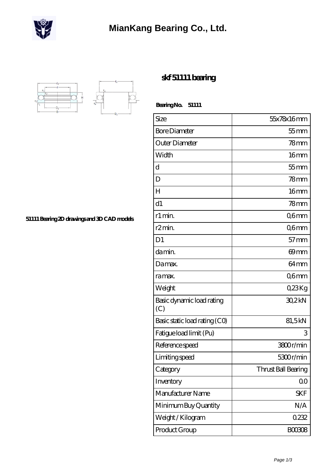

## **[MianKang Bearing Co., Ltd.](https://m.deadly30.com)**



**[skf 51111 bearing](https://m.deadly30.com/skf-51111-bearing/)**

 **Bearing No. 51111**

| Size                             | 55x78x16mm          |
|----------------------------------|---------------------|
| <b>Bore Diameter</b>             | $55$ mm             |
| Outer Diameter                   | 78 <sub>mm</sub>    |
| Width                            | 16mm                |
| d                                | $55$ mm             |
| D                                | 78 <sub>mm</sub>    |
| H                                | 16mm                |
| d1                               | 78mm                |
| r1 min.                          | Q6mm                |
| r <sub>2</sub> min.              | Q6mm                |
| D <sub>1</sub>                   | $57$ mm             |
| da min.                          | 69 <sub>mm</sub>    |
| Damax.                           | 64 <sub>mm</sub>    |
| ra max.                          | Q6mm                |
| Weight                           | Q23Kg               |
| Basic dynamic load rating<br>(C) | 30,2kN              |
| Basic static load rating (CO)    | 81,5kN              |
| Fatigue load limit (Pu)          | 3                   |
| Reference speed                  | 3800r/min           |
| Limiting speed                   | 5300r/min           |
| Category                         | Thrust Ball Bearing |
| Inventory                        | 0 <sub>0</sub>      |
| Manufacturer Name                | <b>SKF</b>          |
| Minimum Buy Quantity             | N/A                 |
| Weight / Kilogram                | 0232                |
| Product Group                    | <b>BOO3O8</b>       |

**[51111 Bearing 2D drawings and 3D CAD models](https://m.deadly30.com/pic-65224932.html)**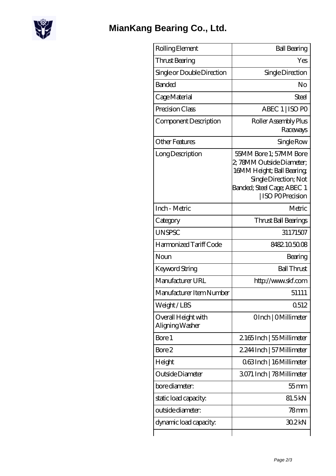

| Rolling Element                        | <b>Ball Bearing</b>                                                                                                                                               |
|----------------------------------------|-------------------------------------------------------------------------------------------------------------------------------------------------------------------|
| Thrust Bearing                         | Yes                                                                                                                                                               |
| Single or Double Direction             | Single Direction                                                                                                                                                  |
| <b>Banded</b>                          | No                                                                                                                                                                |
| Cage Material                          | Steel                                                                                                                                                             |
| Precision Class                        | ABEC 1   ISO PO                                                                                                                                                   |
| Component Description                  | Roller Assembly Plus<br>Raceways                                                                                                                                  |
| <b>Other Features</b>                  | Single Row                                                                                                                                                        |
| Long Description                       | 55MM Bore 1; 57MM Bore<br>2, 78MM Outside Diameter;<br>16MM Height; Ball Bearing<br>Single Direction; Not<br>Banded; Steel Cage; ABEC 1<br><b>ISO POPrecision</b> |
| Inch - Metric                          | Metric                                                                                                                                                            |
| Category                               | Thrust Ball Bearings                                                                                                                                              |
| <b>UNSPSC</b>                          | 31171507                                                                                                                                                          |
| Harmonized Tariff Code                 | 8482.105008                                                                                                                                                       |
| Noun                                   | Bearing                                                                                                                                                           |
| Keyword String                         | <b>Ball Thrust</b>                                                                                                                                                |
| Manufacturer URL                       | http://www.skf.com                                                                                                                                                |
| Manufacturer Item Number               | 51111                                                                                                                                                             |
| Weight/LBS                             | 0512                                                                                                                                                              |
| Overall Height with<br>Aligning Washer | OInch   OMillimeter                                                                                                                                               |
| Bore 1                                 | 2165Inch   55 Millimeter                                                                                                                                          |
| Bore 2                                 | 2.244 Inch   57 Millimeter                                                                                                                                        |
| Height                                 | 063Inch   16 Millimeter                                                                                                                                           |
| Outside Diameter                       | 3071 Inch   78Millimeter                                                                                                                                          |
| bore diameter:                         | $55$ mm                                                                                                                                                           |
| static load capacity.                  | 81.5kN                                                                                                                                                            |
| outside diameter:                      | 78mm                                                                                                                                                              |
| dynamic load capacity:                 | 30.2kN                                                                                                                                                            |
|                                        |                                                                                                                                                                   |